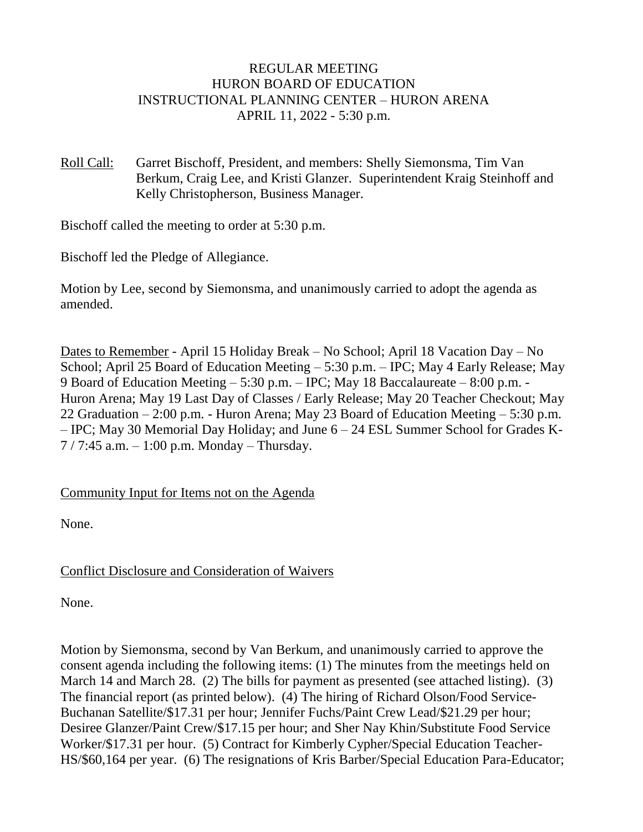### REGULAR MEETING HURON BOARD OF EDUCATION INSTRUCTIONAL PLANNING CENTER – HURON ARENA APRIL 11, 2022 - 5:30 p.m.

Roll Call: Garret Bischoff, President, and members: Shelly Siemonsma, Tim Van Berkum, Craig Lee, and Kristi Glanzer. Superintendent Kraig Steinhoff and Kelly Christopherson, Business Manager.

Bischoff called the meeting to order at 5:30 p.m.

Bischoff led the Pledge of Allegiance.

Motion by Lee, second by Siemonsma, and unanimously carried to adopt the agenda as amended.

Dates to Remember - April 15 Holiday Break – No School; April 18 Vacation Day – No School; April 25 Board of Education Meeting – 5:30 p.m. – IPC; May 4 Early Release; May 9 Board of Education Meeting – 5:30 p.m. – IPC; May 18 Baccalaureate – 8:00 p.m. - Huron Arena; May 19 Last Day of Classes / Early Release; May 20 Teacher Checkout; May 22 Graduation – 2:00 p.m. - Huron Arena; May 23 Board of Education Meeting – 5:30 p.m. – IPC; May 30 Memorial Day Holiday; and June 6 – 24 ESL Summer School for Grades K- $7/7:45$  a.m.  $-1:00$  p.m. Monday – Thursday.

Community Input for Items not on the Agenda

None.

### Conflict Disclosure and Consideration of Waivers

None.

Motion by Siemonsma, second by Van Berkum, and unanimously carried to approve the consent agenda including the following items: (1) The minutes from the meetings held on March 14 and March 28. (2) The bills for payment as presented (see attached listing). (3) The financial report (as printed below). (4) The hiring of Richard Olson/Food Service-Buchanan Satellite/\$17.31 per hour; Jennifer Fuchs/Paint Crew Lead/\$21.29 per hour; Desiree Glanzer/Paint Crew/\$17.15 per hour; and Sher Nay Khin/Substitute Food Service Worker/\$17.31 per hour. (5) Contract for Kimberly Cypher/Special Education Teacher-HS/\$60,164 per year. (6) The resignations of Kris Barber/Special Education Para-Educator;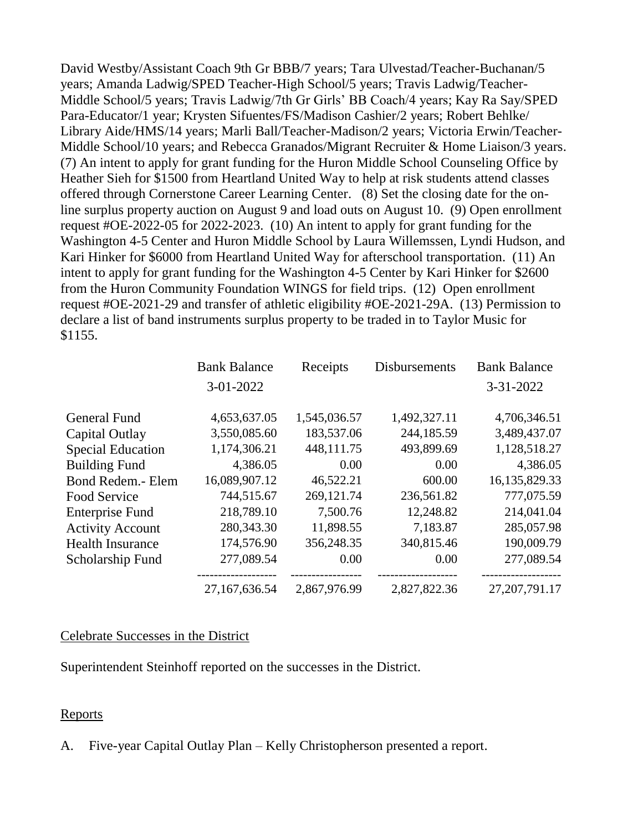David Westby/Assistant Coach 9th Gr BBB/7 years; Tara Ulvestad/Teacher-Buchanan/5 years; Amanda Ladwig/SPED Teacher-High School/5 years; Travis Ladwig/Teacher-Middle School/5 years; Travis Ladwig/7th Gr Girls' BB Coach/4 years; Kay Ra Say/SPED Para-Educator/1 year; Krysten Sifuentes/FS/Madison Cashier/2 years; Robert Behlke/ Library Aide/HMS/14 years; Marli Ball/Teacher-Madison/2 years; Victoria Erwin/Teacher-Middle School/10 years; and Rebecca Granados/Migrant Recruiter & Home Liaison/3 years. (7) An intent to apply for grant funding for the Huron Middle School Counseling Office by Heather Sieh for \$1500 from Heartland United Way to help at risk students attend classes offered through Cornerstone Career Learning Center. (8) Set the closing date for the online surplus property auction on August 9 and load outs on August 10. (9) Open enrollment request #OE-2022-05 for 2022-2023. (10) An intent to apply for grant funding for the Washington 4-5 Center and Huron Middle School by Laura Willemssen, Lyndi Hudson, and Kari Hinker for \$6000 from Heartland United Way for afterschool transportation. (11) An intent to apply for grant funding for the Washington 4-5 Center by Kari Hinker for \$2600 from the Huron Community Foundation WINGS for field trips. (12) Open enrollment request #OE-2021-29 and transfer of athletic eligibility #OE-2021-29A. (13) Permission to declare a list of band instruments surplus property to be traded in to Taylor Music for \$1155.

|                          | <b>Bank Balance</b> | Receipts     | <b>Disbursements</b> | <b>Bank Balance</b> |
|--------------------------|---------------------|--------------|----------------------|---------------------|
|                          | 3-01-2022           |              |                      | 3-31-2022           |
|                          |                     |              |                      |                     |
| <b>General Fund</b>      | 4,653,637.05        | 1,545,036.57 | 1,492,327.11         | 4,706,346.51        |
| Capital Outlay           | 3,550,085.60        | 183,537.06   | 244,185.59           | 3,489,437.07        |
| <b>Special Education</b> | 1,174,306.21        | 448,111.75   | 493,899.69           | 1,128,518.27        |
| <b>Building Fund</b>     | 4,386.05            | 0.00         | 0.00                 | 4,386.05            |
| <b>Bond Redem.- Elem</b> | 16,089,907.12       | 46,522.21    | 600.00               | 16,135,829.33       |
| Food Service             | 744,515.67          | 269,121.74   | 236,561.82           | 777,075.59          |
| <b>Enterprise Fund</b>   | 218,789.10          | 7,500.76     | 12,248.82            | 214,041.04          |
| <b>Activity Account</b>  | 280,343.30          | 11,898.55    | 7,183.87             | 285,057.98          |
| <b>Health Insurance</b>  | 174,576.90          | 356,248.35   | 340,815.46           | 190,009.79          |
| Scholarship Fund         | 277,089.54          | 0.00         | 0.00                 | 277,089.54          |
|                          | 27,167,636.54       | 2,867,976.99 | 2,827,822.36         | 27, 207, 791. 17    |

#### Celebrate Successes in the District

Superintendent Steinhoff reported on the successes in the District.

#### Reports

A. Five-year Capital Outlay Plan – Kelly Christopherson presented a report.